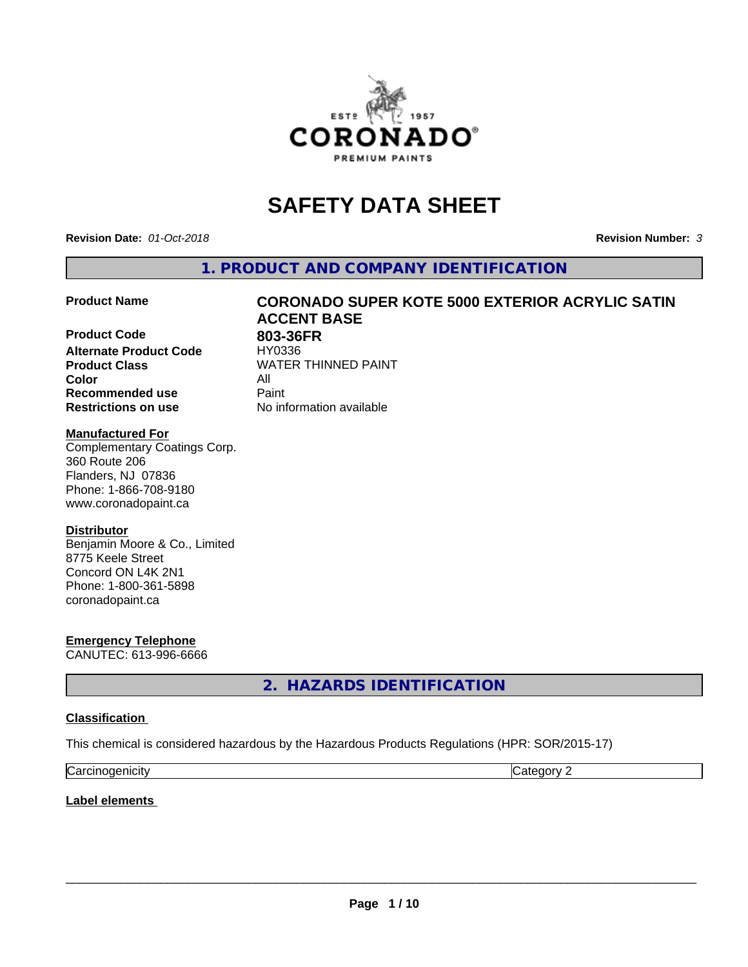

# **SAFETY DATA SHEET**

**Revision Date:** *01-Oct-2018* **Revision Number:** *3*

**1. PRODUCT AND COMPANY IDENTIFICATION**

**Product Code 803-36FR**<br> **Alternate Product Code HY0336 Alternate Product Code Product Class WATER THINNED PAINT Color** All **Recommended use Caint Restrictions on use** No information available

# **Product Name CORONADO SUPER KOTE 5000 EXTERIOR ACRYLIC SATIN ACCENT BASE**

#### **Manufactured For**

Complementary Coatings Corp. 360 Route 206 Flanders, NJ 07836 Phone: 1-866-708-9180 www.coronadopaint.ca

#### **Distributor**

Benjamin Moore & Co., Limited 8775 Keele Street Concord ON L4K 2N1 Phone: 1-800-361-5898 coronadopaint.ca

**Emergency Telephone** CANUTEC: 613-996-6666

**2. HAZARDS IDENTIFICATION**

#### **Classification**

This chemical is considered hazardous by the Hazardous Products Regulations (HPR: SOR/2015-17)

| $\sim$   | $\sim$ |
|----------|--------|
| enicity: | .      |
| Ndi      | . .    |

**Label elements**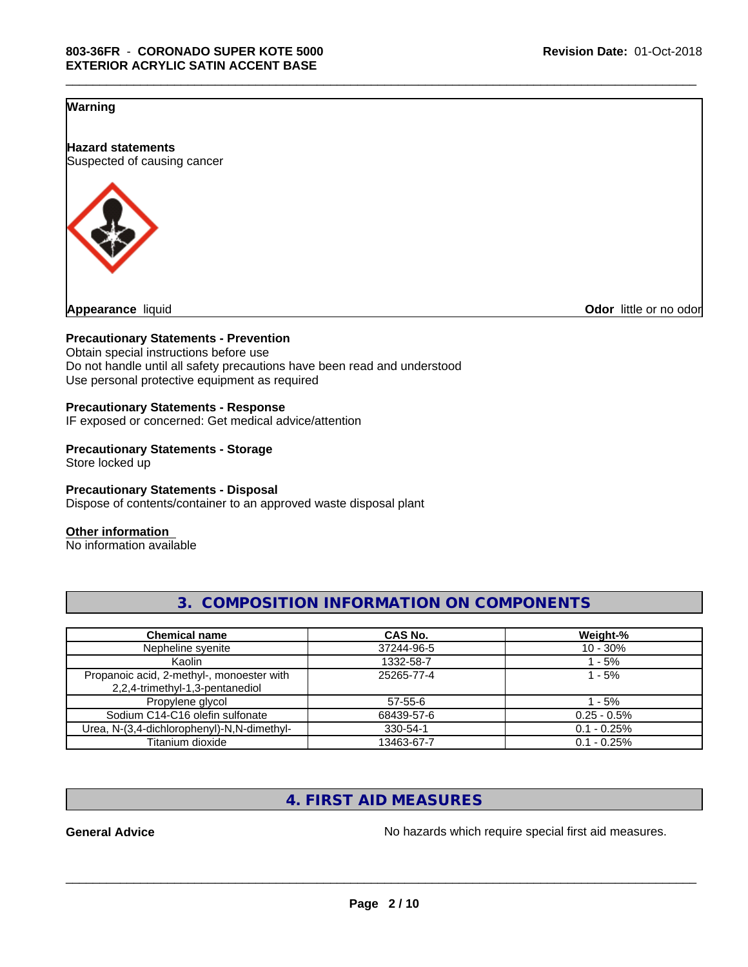#### **Warning**

**Hazard statements** Suspected of causing cancer



**Appearance** liquid **Odor in the original of the original of the original of the original of the original of the original of the original of the original of the original of the original of the original of the original of t** 

#### **Precautionary Statements - Prevention**

Obtain special instructions before use Do not handle until all safety precautions have been read and understood Use personal protective equipment as required

#### **Precautionary Statements - Response**

IF exposed or concerned: Get medical advice/attention

#### **Precautionary Statements - Storage** Store locked up

#### **Precautionary Statements - Disposal**

Dispose of contents/container to an approved waste disposal plant

#### **Other information**

No information available

| <b>Chemical name</b>                                                         | CAS No.    | Weight-%      |
|------------------------------------------------------------------------------|------------|---------------|
| Nepheline syenite                                                            | 37244-96-5 | $10 - 30\%$   |
| Kaolin                                                                       | 1332-58-7  | - 5%          |
| Propanoic acid, 2-methyl-, monoester with<br>2,2,4-trimethyl-1,3-pentanediol | 25265-77-4 | $1 - 5%$      |
| Propylene glycol                                                             | 57-55-6    | 1 - 5%        |
| Sodium C14-C16 olefin sulfonate                                              | 68439-57-6 | $0.25 - 0.5%$ |
| Urea, N-(3,4-dichlorophenyl)-N,N-dimethyl-                                   | 330-54-1   | $0.1 - 0.25%$ |
| Titanium dioxide                                                             | 13463-67-7 | $0.1 - 0.25%$ |

**3. COMPOSITION INFORMATION ON COMPONENTS**

\_\_\_\_\_\_\_\_\_\_\_\_\_\_\_\_\_\_\_\_\_\_\_\_\_\_\_\_\_\_\_\_\_\_\_\_\_\_\_\_\_\_\_\_\_\_\_\_\_\_\_\_\_\_\_\_\_\_\_\_\_\_\_\_\_\_\_\_\_\_\_\_\_\_\_\_\_\_\_\_\_\_\_\_\_\_\_\_\_\_\_\_\_

# **4. FIRST AID MEASURES**

**General Advice** No hazards which require special first aid measures.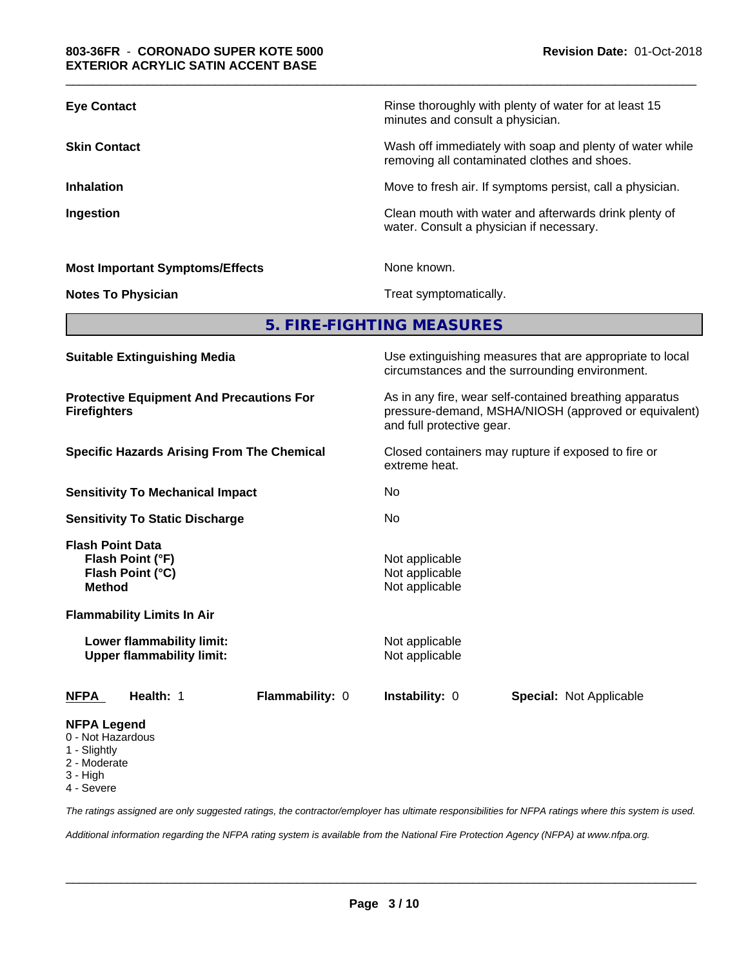| <b>Eye Contact</b>                                                                                |                                                               |                                                                      | Rinse thoroughly with plenty of water for at least 15<br>minutes and consult a physician.                                                    |                                                                                                            |  |  |  |
|---------------------------------------------------------------------------------------------------|---------------------------------------------------------------|----------------------------------------------------------------------|----------------------------------------------------------------------------------------------------------------------------------------------|------------------------------------------------------------------------------------------------------------|--|--|--|
| <b>Skin Contact</b>                                                                               |                                                               |                                                                      |                                                                                                                                              | Wash off immediately with soap and plenty of water while<br>removing all contaminated clothes and shoes.   |  |  |  |
| <b>Inhalation</b>                                                                                 |                                                               |                                                                      |                                                                                                                                              | Move to fresh air. If symptoms persist, call a physician.                                                  |  |  |  |
| Ingestion                                                                                         |                                                               |                                                                      |                                                                                                                                              | Clean mouth with water and afterwards drink plenty of<br>water. Consult a physician if necessary.          |  |  |  |
|                                                                                                   | <b>Most Important Symptoms/Effects</b>                        |                                                                      | None known.                                                                                                                                  |                                                                                                            |  |  |  |
|                                                                                                   | <b>Notes To Physician</b>                                     |                                                                      | Treat symptomatically.                                                                                                                       |                                                                                                            |  |  |  |
|                                                                                                   |                                                               |                                                                      | 5. FIRE-FIGHTING MEASURES                                                                                                                    |                                                                                                            |  |  |  |
| <b>Suitable Extinguishing Media</b>                                                               |                                                               |                                                                      |                                                                                                                                              | Use extinguishing measures that are appropriate to local<br>circumstances and the surrounding environment. |  |  |  |
| <b>Protective Equipment And Precautions For</b><br><b>Firefighters</b>                            |                                                               |                                                                      | As in any fire, wear self-contained breathing apparatus<br>pressure-demand, MSHA/NIOSH (approved or equivalent)<br>and full protective gear. |                                                                                                            |  |  |  |
| <b>Specific Hazards Arising From The Chemical</b>                                                 |                                                               | Closed containers may rupture if exposed to fire or<br>extreme heat. |                                                                                                                                              |                                                                                                            |  |  |  |
|                                                                                                   | <b>Sensitivity To Mechanical Impact</b>                       |                                                                      | No                                                                                                                                           |                                                                                                            |  |  |  |
|                                                                                                   | <b>Sensitivity To Static Discharge</b>                        |                                                                      | No                                                                                                                                           |                                                                                                            |  |  |  |
| <b>Flash Point Data</b><br><b>Method</b>                                                          | Flash Point (°F)<br>Flash Point (°C)                          |                                                                      | Not applicable<br>Not applicable<br>Not applicable                                                                                           |                                                                                                            |  |  |  |
|                                                                                                   | <b>Flammability Limits In Air</b>                             |                                                                      |                                                                                                                                              |                                                                                                            |  |  |  |
|                                                                                                   | Lower flammability limit:<br><b>Upper flammability limit:</b> |                                                                      | Not applicable<br>Not applicable                                                                                                             |                                                                                                            |  |  |  |
| <b>NFPA</b>                                                                                       | Health: 1                                                     | Flammability: 0                                                      | Instability: 0                                                                                                                               | <b>Special: Not Applicable</b>                                                                             |  |  |  |
| <b>NFPA Legend</b><br>0 - Not Hazardous<br>1 - Slightly<br>2 - Moderate<br>3 - High<br>4 - Severe |                                                               |                                                                      |                                                                                                                                              |                                                                                                            |  |  |  |

*The ratings assigned are only suggested ratings, the contractor/employer has ultimate responsibilities for NFPA ratings where this system is used.*

*Additional information regarding the NFPA rating system is available from the National Fire Protection Agency (NFPA) at www.nfpa.org.*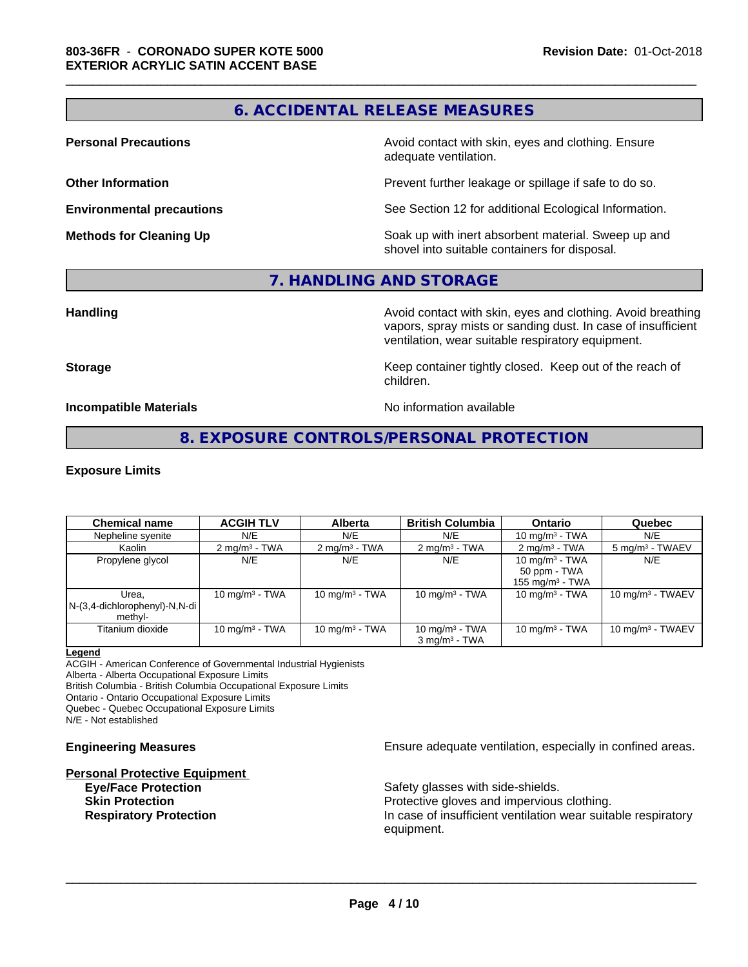## **6. ACCIDENTAL RELEASE MEASURES**

\_\_\_\_\_\_\_\_\_\_\_\_\_\_\_\_\_\_\_\_\_\_\_\_\_\_\_\_\_\_\_\_\_\_\_\_\_\_\_\_\_\_\_\_\_\_\_\_\_\_\_\_\_\_\_\_\_\_\_\_\_\_\_\_\_\_\_\_\_\_\_\_\_\_\_\_\_\_\_\_\_\_\_\_\_\_\_\_\_\_\_\_\_

**Personal Precautions Avoid contact with skin, eyes and clothing. Ensure** Avoid contact with skin, eyes and clothing. Ensure adequate ventilation.

**Other Information Determines According to the Prevent further leakage or spillage if safe to do so.** 

**Environmental precautions** See Section 12 for additional Ecological Information.

**Methods for Cleaning Up Example 20 Soak** up with inert absorbent material. Sweep up and shovel into suitable containers for disposal.

#### **7. HANDLING AND STORAGE**

**Handling Avoid contact with skin, eyes and clothing. Avoid breathing Handling Avoid breathing** vapors, spray mists or sanding dust. In case of insufficient ventilation, wear suitable respiratory equipment.

**Storage Keep container tightly closed. Keep out of the reach of Keep** container tightly closed. Keep out of the reach of children.

**Incompatible Materials Incompatible Materials No information available** 

## **8. EXPOSURE CONTROLS/PERSONAL PROTECTION**

#### **Exposure Limits**

| <b>Chemical name</b>                                 | <b>ACGIH TLV</b>         | <b>Alberta</b>          | <b>British Columbia</b>                       | <b>Ontario</b>                                          | Quebec                      |
|------------------------------------------------------|--------------------------|-------------------------|-----------------------------------------------|---------------------------------------------------------|-----------------------------|
| Nepheline syenite                                    | N/E                      | N/E                     | N/E                                           | 10 mg/m $3$ - TWA                                       | N/E                         |
| Kaolin                                               | $2 \text{ mg/m}^3$ - TWA | $2 \text{mq/m}^3$ - TWA | $2 \text{mq/m}^3$ - TWA                       | $2 \text{ mg/m}^3$ - TWA                                | 5 mg/m <sup>3</sup> - TWAEV |
| Propylene glycol                                     | N/E                      | N/E                     | N/E                                           | 10 mg/m $3$ - TWA<br>50 ppm - TWA<br>155 mg/m $3$ - TWA | N/E                         |
| Urea.<br>$N-(3,4$ -dichlorophenyl)-N,N-di<br>methyl- | 10 mg/m $3$ - TWA        | 10 mg/m $3$ - TWA       | 10 mg/m $3$ - TWA                             | 10 mg/m $3$ - TWA                                       | 10 $ma/m3$ - TWAEV          |
| Titanium dioxide                                     | 10 mg/m $3$ - TWA        | 10 mg/m $3$ - TWA       | 10 mg/m $3$ - TWA<br>$3 \text{ ma/m}^3$ - TWA | 10 mg/m $3$ - TWA                                       | 10 mg/m $3$ - TWAEV         |

#### **Legend**

ACGIH - American Conference of Governmental Industrial Hygienists Alberta - Alberta Occupational Exposure Limits British Columbia - British Columbia Occupational Exposure Limits Ontario - Ontario Occupational Exposure Limits

Quebec - Quebec Occupational Exposure Limits

N/E - Not established

# **Personal Protective Equipment**

**Engineering Measures Ensure** Ensure adequate ventilation, especially in confined areas.

**Eye/Face Protection** Safety glasses with side-shields. **Skin Protection Protection Protective gloves and impervious clothing. Respiratory Protection In case of insufficient ventilation wear suitable respiratory** equipment.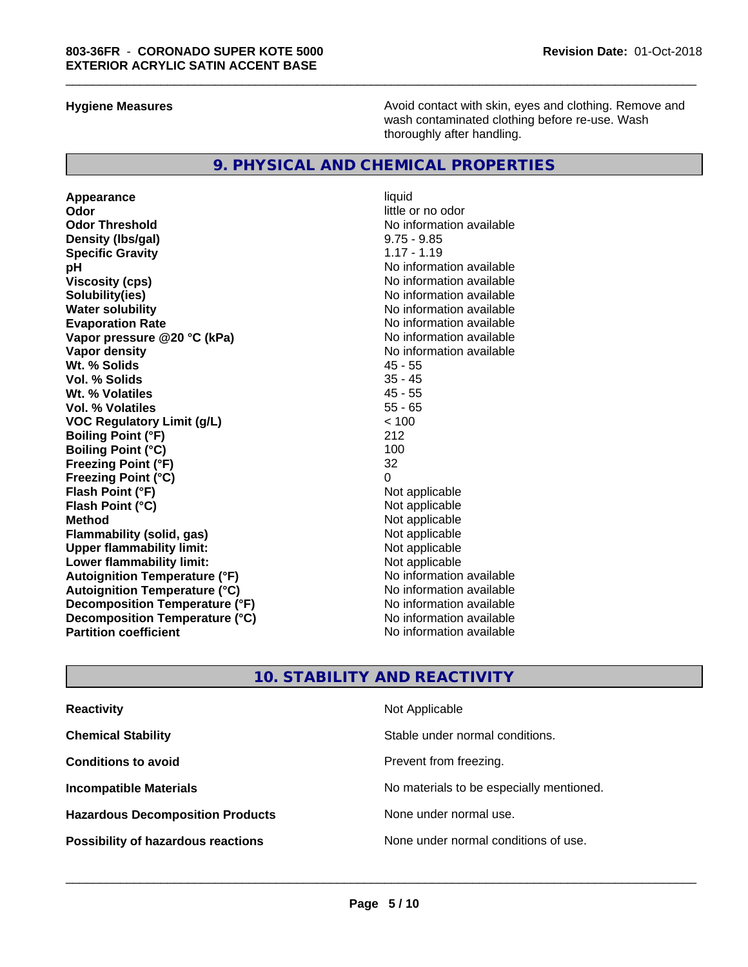**Hygiene Measures Avoid contact with skin, eyes and clothing. Remove and Avoid contact with skin, eyes and clothing. Remove and Avoid contact with skin, eyes and clothing. Remove and** wash contaminated clothing before re-use. Wash thoroughly after handling.

#### **9. PHYSICAL AND CHEMICAL PROPERTIES**

**Appearance** liquid **Odor** little or no odor **Odor Threshold No information available** No information available **Density (lbs/gal)** 9.75 - 9.85 **Specific Gravity** 1.17 - 1.19 **pH** No information available **Viscosity (cps)** No information available **Solubility(ies)** No information available **Water solubility**<br> **Evaporation Rate**<br> **Evaporation Rate**<br> **Evaporation Rate Vapor** pressure @20 °C (kPa) **Vapor density**<br> **We Solids**<br>
We Solids
2018 **Wt. % Solids** 45 - 55 **Vol. % Solids Wt. % Volatiles** 45 - 55 **Vol. % Volatiles VOC Regulatory Limit (g/L)** < 100 **Boiling Point (°F)** 212 **Boiling Point (°C)** 100<br>**Freezing Point (°F)** 32 **Freezing Point (°F) Freezing Point (°C)** 0 **Flash Point (°F) Flash Point (°C)** Not applicable **Method** Not applicable **Flammability** (solid, gas) **Upper flammability limit:** Not applicable **Lower flammability limit:**<br> **Autoignition Temperature (°F)** Not applicable havailable available **Autoignition Temperature (°F) Autoignition Temperature (°C)** No information available **Decomposition Temperature (°F)** No information available<br> **Decomposition Temperature (°C)** No information available **Decomposition Temperature (°C) Partition coefficient** No information available

No information available<br>No information available

\_\_\_\_\_\_\_\_\_\_\_\_\_\_\_\_\_\_\_\_\_\_\_\_\_\_\_\_\_\_\_\_\_\_\_\_\_\_\_\_\_\_\_\_\_\_\_\_\_\_\_\_\_\_\_\_\_\_\_\_\_\_\_\_\_\_\_\_\_\_\_\_\_\_\_\_\_\_\_\_\_\_\_\_\_\_\_\_\_\_\_\_\_

#### **10. STABILITY AND REACTIVITY**

| <b>Reactivity</b>                         | Not Applicable                           |
|-------------------------------------------|------------------------------------------|
| <b>Chemical Stability</b>                 | Stable under normal conditions.          |
| <b>Conditions to avoid</b>                | Prevent from freezing.                   |
| <b>Incompatible Materials</b>             | No materials to be especially mentioned. |
| <b>Hazardous Decomposition Products</b>   | None under normal use.                   |
| <b>Possibility of hazardous reactions</b> | None under normal conditions of use.     |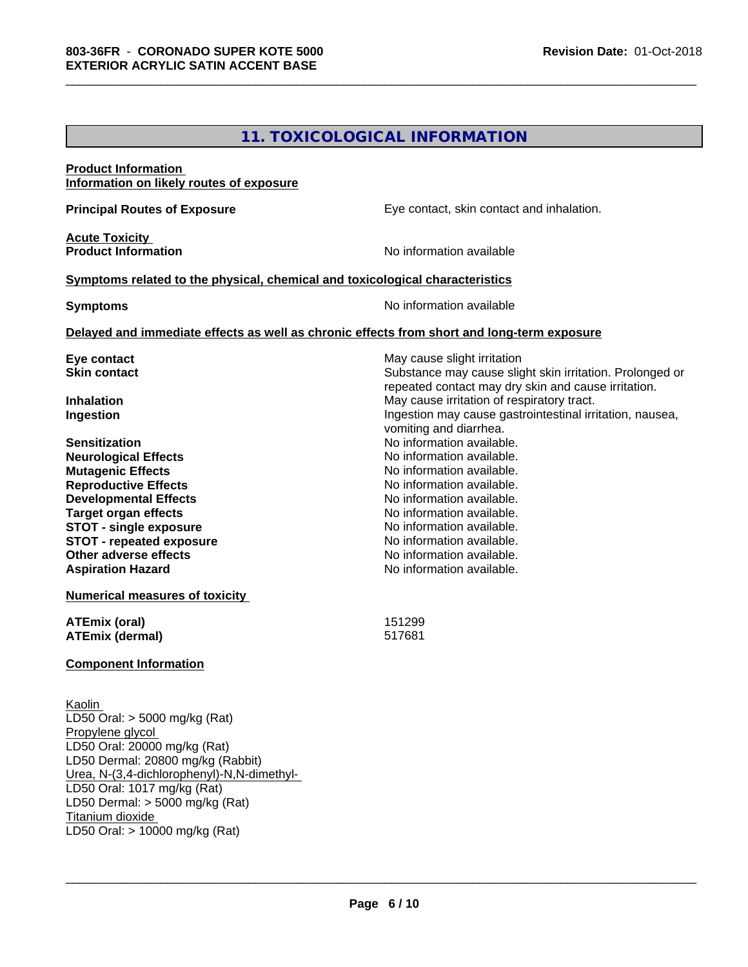## **11. TOXICOLOGICAL INFORMATION**

\_\_\_\_\_\_\_\_\_\_\_\_\_\_\_\_\_\_\_\_\_\_\_\_\_\_\_\_\_\_\_\_\_\_\_\_\_\_\_\_\_\_\_\_\_\_\_\_\_\_\_\_\_\_\_\_\_\_\_\_\_\_\_\_\_\_\_\_\_\_\_\_\_\_\_\_\_\_\_\_\_\_\_\_\_\_\_\_\_\_\_\_\_

| <b>Product Information</b><br>Information on likely routes of exposure                                                                                                                                                                                                                                                       |                                                                                                                                                                                                                                                                                                |
|------------------------------------------------------------------------------------------------------------------------------------------------------------------------------------------------------------------------------------------------------------------------------------------------------------------------------|------------------------------------------------------------------------------------------------------------------------------------------------------------------------------------------------------------------------------------------------------------------------------------------------|
| <b>Principal Routes of Exposure</b>                                                                                                                                                                                                                                                                                          | Eye contact, skin contact and inhalation.                                                                                                                                                                                                                                                      |
| <b>Acute Toxicity</b><br><b>Product Information</b>                                                                                                                                                                                                                                                                          | No information available                                                                                                                                                                                                                                                                       |
| Symptoms related to the physical, chemical and toxicological characteristics                                                                                                                                                                                                                                                 |                                                                                                                                                                                                                                                                                                |
| <b>Symptoms</b>                                                                                                                                                                                                                                                                                                              | No information available                                                                                                                                                                                                                                                                       |
| Delayed and immediate effects as well as chronic effects from short and long-term exposure                                                                                                                                                                                                                                   |                                                                                                                                                                                                                                                                                                |
| Eye contact<br><b>Skin contact</b>                                                                                                                                                                                                                                                                                           | May cause slight irritation<br>Substance may cause slight skin irritation. Prolonged or<br>repeated contact may dry skin and cause irritation.                                                                                                                                                 |
| <b>Inhalation</b><br>Ingestion                                                                                                                                                                                                                                                                                               | May cause irritation of respiratory tract.<br>Ingestion may cause gastrointestinal irritation, nausea,<br>vomiting and diarrhea.                                                                                                                                                               |
| <b>Sensitization</b><br><b>Neurological Effects</b><br><b>Mutagenic Effects</b><br><b>Reproductive Effects</b><br><b>Developmental Effects</b><br><b>Target organ effects</b><br><b>STOT - single exposure</b><br><b>STOT - repeated exposure</b><br><b>Other adverse effects</b><br><b>Aspiration Hazard</b>                | No information available.<br>No information available.<br>No information available.<br>No information available.<br>No information available.<br>No information available.<br>No information available.<br>No information available.<br>No information available.<br>No information available. |
| <b>Numerical measures of toxicity</b>                                                                                                                                                                                                                                                                                        |                                                                                                                                                                                                                                                                                                |
| ATEmix (oral)<br><b>ATEmix (dermal)</b>                                                                                                                                                                                                                                                                                      | 151299<br>517681                                                                                                                                                                                                                                                                               |
| <b>Component Information</b>                                                                                                                                                                                                                                                                                                 |                                                                                                                                                                                                                                                                                                |
| Kaolin<br>$\overline{\text{LD50}}$ Oral: > 5000 mg/kg (Rat)<br>Propylene glycol<br>LD50 Oral: 20000 mg/kg (Rat)<br>LD50 Dermal: 20800 mg/kg (Rabbit)<br>Urea, N-(3,4-dichlorophenyl)-N,N-dimethyl-<br>LD50 Oral: 1017 mg/kg (Rat)<br>LD50 Dermal: $>$ 5000 mg/kg (Rat)<br>Titanium dioxide<br>LD50 Oral: > 10000 mg/kg (Rat) |                                                                                                                                                                                                                                                                                                |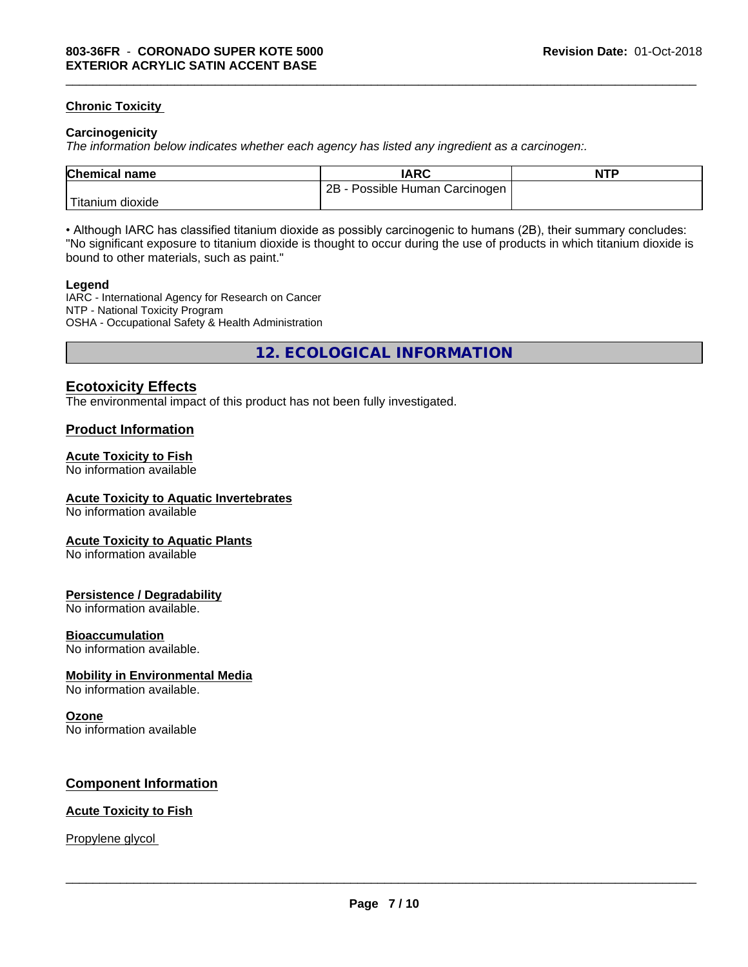#### **Chronic Toxicity**

#### **Carcinogenicity**

*The information below indicateswhether each agency has listed any ingredient as a carcinogen:.*

| <b>Chemical name</b>    | <b>IARC</b>                     | <b>NTP</b> |
|-------------------------|---------------------------------|------------|
|                         | 2B<br>Possible Human Carcinogen |            |
| Titanium 、<br>, dioxide |                                 |            |

\_\_\_\_\_\_\_\_\_\_\_\_\_\_\_\_\_\_\_\_\_\_\_\_\_\_\_\_\_\_\_\_\_\_\_\_\_\_\_\_\_\_\_\_\_\_\_\_\_\_\_\_\_\_\_\_\_\_\_\_\_\_\_\_\_\_\_\_\_\_\_\_\_\_\_\_\_\_\_\_\_\_\_\_\_\_\_\_\_\_\_\_\_

• Although IARC has classified titanium dioxide as possibly carcinogenic to humans (2B), their summary concludes: "No significant exposure to titanium dioxide is thought to occur during the use of products in which titanium dioxide is bound to other materials, such as paint."

#### **Legend**

IARC - International Agency for Research on Cancer NTP - National Toxicity Program OSHA - Occupational Safety & Health Administration

**12. ECOLOGICAL INFORMATION**

#### **Ecotoxicity Effects**

The environmental impact of this product has not been fully investigated.

#### **Product Information**

#### **Acute Toxicity to Fish**

No information available

#### **Acute Toxicity to Aquatic Invertebrates**

No information available

#### **Acute Toxicity to Aquatic Plants**

No information available

#### **Persistence / Degradability**

No information available.

#### **Bioaccumulation**

No information available.

#### **Mobility in Environmental Media**

No information available.

#### **Ozone**

No information available

#### **Component Information**

#### **Acute Toxicity to Fish**

#### Propylene glycol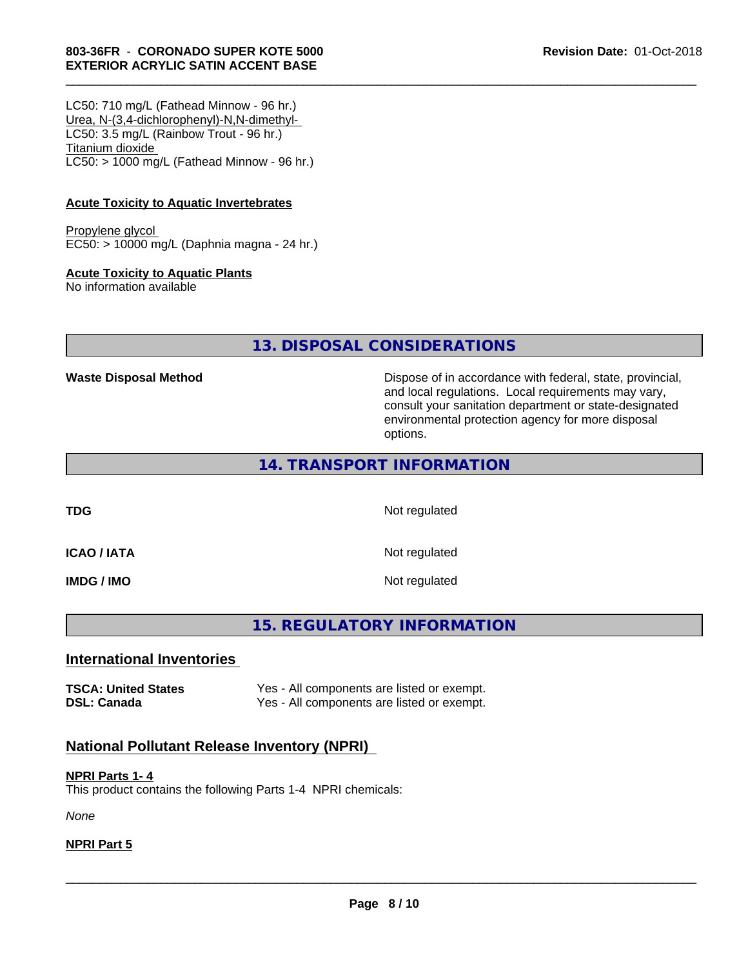#### **803-36FR** - **CORONADO SUPER KOTE 5000 EXTERIOR ACRYLIC SATIN ACCENT BASE**

LC50: 710 mg/L (Fathead Minnow - 96 hr.) Urea, N-(3,4-dichlorophenyl)-N,N-dimethyl- LC50: 3.5 mg/L (Rainbow Trout - 96 hr.) Titanium dioxide  $LC50:$  > 1000 mg/L (Fathead Minnow - 96 hr.)

#### **Acute Toxicity to Aquatic Invertebrates**

Propylene glycol EC50: > 10000 mg/L (Daphnia magna - 24 hr.)

#### **Acute Toxicity to Aquatic Plants**

No information available

**13. DISPOSAL CONSIDERATIONS**

**Waste Disposal Method Dispose of in accordance with federal, state, provincial,** and local regulations. Local requirements may vary, consult your sanitation department or state-designated environmental protection agency for more disposal options.

## **14. TRANSPORT INFORMATION**

**TDG** Not regulated

\_\_\_\_\_\_\_\_\_\_\_\_\_\_\_\_\_\_\_\_\_\_\_\_\_\_\_\_\_\_\_\_\_\_\_\_\_\_\_\_\_\_\_\_\_\_\_\_\_\_\_\_\_\_\_\_\_\_\_\_\_\_\_\_\_\_\_\_\_\_\_\_\_\_\_\_\_\_\_\_\_\_\_\_\_\_\_\_\_\_\_\_\_

**ICAO / IATA** Not regulated

**IMDG / IMO** Not regulated

## **15. REGULATORY INFORMATION**

#### **International Inventories**

**TSCA: United States** Yes - All components are listed or exempt. **DSL: Canada** Yes - All components are listed or exempt.

## **National Pollutant Release Inventory (NPRI)**

#### **NPRI Parts 1- 4** This product contains the following Parts 1-4 NPRI chemicals:

*None*

#### **NPRI Part 5**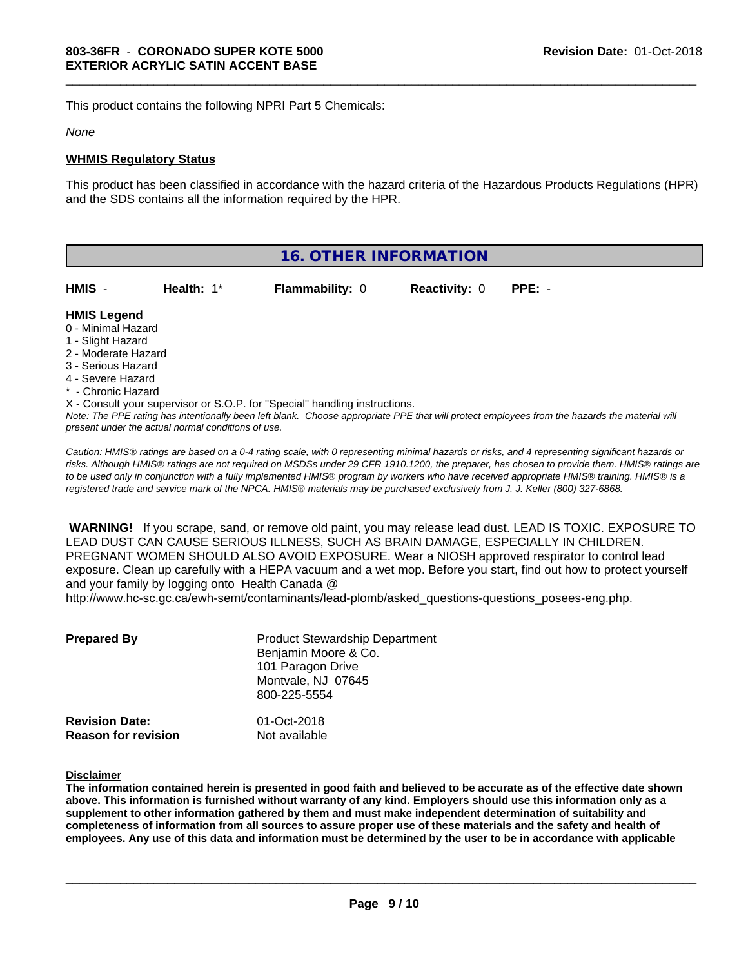This product contains the following NPRI Part 5 Chemicals:

#### *None*

#### **WHMIS Regulatory Status**

This product has been classified in accordance with the hazard criteria of the Hazardous Products Regulations (HPR) and the SDS contains all the information required by the HPR.

\_\_\_\_\_\_\_\_\_\_\_\_\_\_\_\_\_\_\_\_\_\_\_\_\_\_\_\_\_\_\_\_\_\_\_\_\_\_\_\_\_\_\_\_\_\_\_\_\_\_\_\_\_\_\_\_\_\_\_\_\_\_\_\_\_\_\_\_\_\_\_\_\_\_\_\_\_\_\_\_\_\_\_\_\_\_\_\_\_\_\_\_\_

|                                                                                                                                                                                                                                                                                   |               | 16. OTHER INFORMATION  |                      |          |
|-----------------------------------------------------------------------------------------------------------------------------------------------------------------------------------------------------------------------------------------------------------------------------------|---------------|------------------------|----------------------|----------|
| HMIS -                                                                                                                                                                                                                                                                            | Health: $1^*$ | <b>Flammability: 0</b> | <b>Reactivity: 0</b> | $PPE: -$ |
| <b>HMIS Legend</b><br>0 - Minimal Hazard<br>1 - Slight Hazard<br>2 - Moderate Hazard<br>3 - Serious Hazard<br>4 - Severe Hazard<br>* - Chronic Hazard                                                                                                                             |               |                        |                      |          |
| X - Consult your supervisor or S.O.P. for "Special" handling instructions.<br>Note: The PPE rating has intentionally been left blank. Choose appropriate PPE that will protect employees from the hazards the material will<br>present under the actual normal conditions of use. |               |                        |                      |          |

*Caution: HMISÒ ratings are based on a 0-4 rating scale, with 0 representing minimal hazards or risks, and 4 representing significant hazards or risks. Although HMISÒ ratings are not required on MSDSs under 29 CFR 1910.1200, the preparer, has chosen to provide them. HMISÒ ratings are to be used only in conjunction with a fully implemented HMISÒ program by workers who have received appropriate HMISÒ training. HMISÒ is a registered trade and service mark of the NPCA. HMISÒ materials may be purchased exclusively from J. J. Keller (800) 327-6868.*

 **WARNING!** If you scrape, sand, or remove old paint, you may release lead dust. LEAD IS TOXIC. EXPOSURE TO LEAD DUST CAN CAUSE SERIOUS ILLNESS, SUCH AS BRAIN DAMAGE, ESPECIALLY IN CHILDREN. PREGNANT WOMEN SHOULD ALSO AVOID EXPOSURE.Wear a NIOSH approved respirator to control lead exposure. Clean up carefully with a HEPA vacuum and a wet mop. Before you start, find out how to protect yourself and your family by logging onto Health Canada @

http://www.hc-sc.gc.ca/ewh-semt/contaminants/lead-plomb/asked\_questions-questions\_posees-eng.php.

| <b>Prepared By</b>         | <b>Product Stewardship Department</b><br>Benjamin Moore & Co.<br>101 Paragon Drive<br>Montvale, NJ 07645<br>800-225-5554 |
|----------------------------|--------------------------------------------------------------------------------------------------------------------------|
| <b>Revision Date:</b>      | 01-Oct-2018                                                                                                              |
| <b>Reason for revision</b> | Not available                                                                                                            |

#### **Disclaimer**

The information contained herein is presented in good faith and believed to be accurate as of the effective date shown above. This information is furnished without warranty of any kind. Employers should use this information only as a **supplement to other information gathered by them and must make independent determination of suitability and** completeness of information from all sources to assure proper use of these materials and the safety and health of employees. Any use of this data and information must be determined by the user to be in accordance with applicable